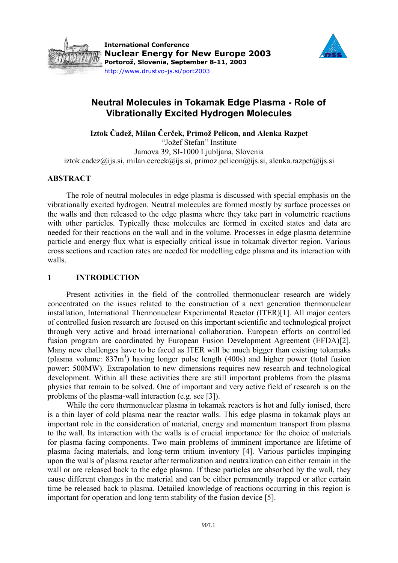



# **Neutral Molecules in Tokamak Edge Plasma - Role of Vibrationally Excited Hydrogen Molecules**

**Iztok Čadež, Milan Čerček, Primož Pelicon, and Alenka Razpet** 

"Jožef Stefan" Institute Jamova 39, SI-1000 Ljubljana, Slovenia  $i$ ztok.cadez@ijs.si, milan.cercek@ijs.si, primoz.pelicon@ijs.si, alenka.razpet@ijs.si

# **ABSTRACT**

The role of neutral molecules in edge plasma is discussed with special emphasis on the vibrationally excited hydrogen. Neutral molecules are formed mostly by surface processes on the walls and then released to the edge plasma where they take part in volumetric reactions with other particles. Typically these molecules are formed in excited states and data are needed for their reactions on the wall and in the volume. Processes in edge plasma determine particle and energy flux what is especially critical issue in tokamak divertor region. Various cross sections and reaction rates are needed for modelling edge plasma and its interaction with walls.

## **1 INTRODUCTION**

Present activities in the field of the controlled thermonuclear research are widely concentrated on the issues related to the construction of a next generation thermonuclear installation, International Thermonuclear Experimental Reactor (ITER)[1]. All major centers of controlled fusion research are focused on this important scientific and technological project through very active and broad international collaboration. European efforts on controlled fusion program are coordinated by European Fusion Development Agreement (EFDA)[2]. Many new challenges have to be faced as ITER will be much bigger than existing tokamaks (plasma volume:  $837m^3$ ) having longer pulse length (400s) and higher power (total fusion power: 500MW). Extrapolation to new dimensions requires new research and technological development. Within all these activities there are still important problems from the plasma physics that remain to be solved. One of important and very active field of research is on the problems of the plasma-wall interaction (e.g. see [3]).

While the core thermonuclear plasma in tokamak reactors is hot and fully ionised, there is a thin layer of cold plasma near the reactor walls. This edge plasma in tokamak plays an important role in the consideration of material, energy and momentum transport from plasma to the wall. Its interaction with the walls is of crucial importance for the choice of materials for plasma facing components. Two main problems of imminent importance are lifetime of plasma facing materials, and long-term tritium inventory [4]. Various particles impinging upon the walls of plasma reactor after termalization and neutralization can either remain in the wall or are released back to the edge plasma. If these particles are absorbed by the wall, they cause different changes in the material and can be either permanently trapped or after certain time be released back to plasma. Detailed knowledge of reactions occurring in this region is important for operation and long term stability of the fusion device [5].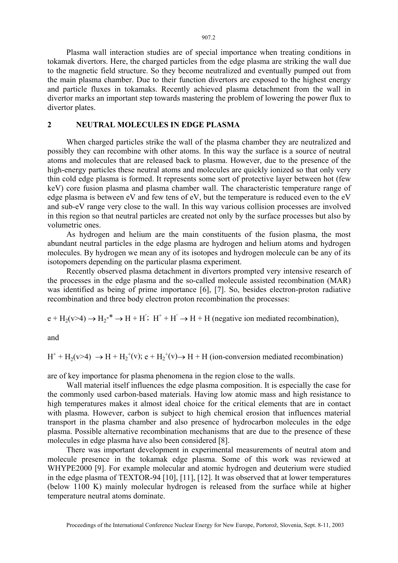Plasma wall interaction studies are of special importance when treating conditions in tokamak divertors. Here, the charged particles from the edge plasma are striking the wall due to the magnetic field structure. So they become neutralized and eventually pumped out from the main plasma chamber. Due to their function divertors are exposed to the highest energy and particle fluxes in tokamaks. Recently achieved plasma detachment from the wall in divertor marks an important step towards mastering the problem of lowering the power flux to divertor plates.

#### **2 NEUTRAL MOLECULES IN EDGE PLASMA**

When charged particles strike the wall of the plasma chamber they are neutralized and possibly they can recombine with other atoms. In this way the surface is a source of neutral atoms and molecules that are released back to plasma. However, due to the presence of the high-energy particles these neutral atoms and molecules are quickly ionized so that only very thin cold edge plasma is formed. It represents some sort of protective layer between hot (few keV) core fusion plasma and plasma chamber wall. The characteristic temperature range of edge plasma is between eV and few tens of eV, but the temperature is reduced even to the eV and sub-eV range very close to the wall. In this way various collision processes are involved in this region so that neutral particles are created not only by the surface processes but also by volumetric ones.

As hydrogen and helium are the main constituents of the fusion plasma, the most abundant neutral particles in the edge plasma are hydrogen and helium atoms and hydrogen molecules. By hydrogen we mean any of its isotopes and hydrogen molecule can be any of its isotopomers depending on the particular plasma experiment.

Recently observed plasma detachment in divertors prompted very intensive research of the processes in the edge plasma and the so-called molecule assisted recombination (MAR) was identified as being of prime importance [6], [7]. So, besides electron-proton radiative recombination and three body electron proton recombination the processes:

 $e + H_2(v > 4) \rightarrow H_2^{-*} \rightarrow H + H$ ;  $H^+ + H^- \rightarrow H + H$  (negative ion mediated recombination),

and

 $H^+ + H_2(v>4) \rightarrow H + H_2^+(v)$ ; e +  $H_2^+(v) \rightarrow H + H$  (ion-conversion mediated recombination)

are of key importance for plasma phenomena in the region close to the walls.

Wall material itself influences the edge plasma composition. It is especially the case for the commonly used carbon-based materials. Having low atomic mass and high resistance to high temperatures makes it almost ideal choice for the critical elements that are in contact with plasma. However, carbon is subject to high chemical erosion that influences material transport in the plasma chamber and also presence of hydrocarbon molecules in the edge plasma. Possible alternative recombination mechanisms that are due to the presence of these molecules in edge plasma have also been considered [8].

There was important development in experimental measurements of neutral atom and molecule presence in the tokamak edge plasma. Some of this work was reviewed at WHYPE2000 [9]. For example molecular and atomic hydrogen and deuterium were studied in the edge plasma of TEXTOR-94 [10], [11], [12]. It was observed that at lower temperatures (below 1100 K) mainly molecular hydrogen is released from the surface while at higher temperature neutral atoms dominate.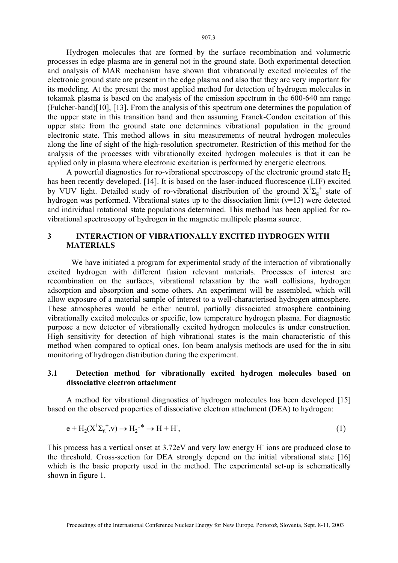Hydrogen molecules that are formed by the surface recombination and volumetric processes in edge plasma are in general not in the ground state. Both experimental detection and analysis of MAR mechanism have shown that vibrationally excited molecules of the electronic ground state are present in the edge plasma and also that they are very important for its modeling. At the present the most applied method for detection of hydrogen molecules in tokamak plasma is based on the analysis of the emission spectrum in the 600-640 nm range (Fulcher-band)[10], [13]. From the analysis of this spectrum one determines the population of the upper state in this transition band and then assuming Franck-Condon excitation of this upper state from the ground state one determines vibrational population in the ground electronic state. This method allows in situ measurements of neutral hydrogen molecules along the line of sight of the high-resolution spectrometer. Restriction of this method for the analysis of the processes with vibrationally excited hydrogen molecules is that it can be applied only in plasma where electronic excitation is performed by energetic electrons.

A powerful diagnostics for ro-vibrational spectroscopy of the electronic ground state  $H_2$ has been recently developed. [14]. It is based on the laser-induced fluorescence (LIF) excited by VUV light. Detailed study of ro-vibrational distribution of the ground  $X^1\Sigma_g^+$  state of hydrogen was performed. Vibrational states up to the dissociation limit  $(v=13)$  were detected and individual rotational state populations determined. This method has been applied for rovibrational spectroscopy of hydrogen in the magnetic multipole plasma source.

# **3 INTERACTION OF VIBRATIONALLY EXCITED HYDROGEN WITH MATERIALS**

We have initiated a program for experimental study of the interaction of vibrationally excited hydrogen with different fusion relevant materials. Processes of interest are recombination on the surfaces, vibrational relaxation by the wall collisions, hydrogen adsorption and absorption and some others. An experiment will be assembled, which will allow exposure of a material sample of interest to a well-characterised hydrogen atmosphere. These atmospheres would be either neutral, partially dissociated atmosphere containing vibrationally excited molecules or specific, low temperature hydrogen plasma. For diagnostic purpose a new detector of vibrationally excited hydrogen molecules is under construction. High sensitivity for detection of high vibrational states is the main characteristic of this method when compared to optical ones. Ion beam analysis methods are used for the in situ monitoring of hydrogen distribution during the experiment.

# **3.1 Detection method for vibrationally excited hydrogen molecules based on dissociative electron attachment**

A method for vibrational diagnostics of hydrogen molecules has been developed [15] based on the observed properties of dissociative electron attachment (DEA) to hydrogen:

$$
e + H_2(X^1\Sigma_g^+, v) \to H_2^{-*} \to H + H,
$$
\n<sup>(1)</sup>

This process has a vertical onset at 3.72eV and very low energy H<sup>-</sup> ions are produced close to the threshold. Cross-section for DEA strongly depend on the initial vibrational state [16] which is the basic property used in the method. The experimental set-up is schematically shown in figure 1.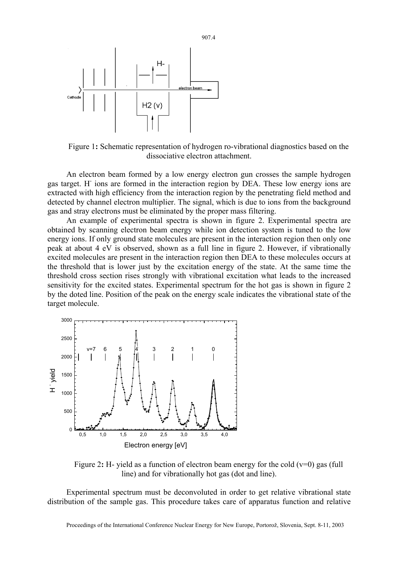

Figure 1**:** Schematic representation of hydrogen ro-vibrational diagnostics based on the dissociative electron attachment.

An electron beam formed by a low energy electron gun crosses the sample hydrogen gas target. H<sup>-</sup> ions are formed in the interaction region by DEA. These low energy ions are extracted with high efficiency from the interaction region by the penetrating field method and detected by channel electron multiplier. The signal, which is due to ions from the background gas and stray electrons must be eliminated by the proper mass filtering.

An example of experimental spectra is shown in figure 2. Experimental spectra are obtained by scanning electron beam energy while ion detection system is tuned to the low energy ions. If only ground state molecules are present in the interaction region then only one peak at about 4 eV is observed, shown as a full line in figure 2. However, if vibrationally excited molecules are present in the interaction region then DEA to these molecules occurs at the threshold that is lower just by the excitation energy of the state. At the same time the threshold cross section rises strongly with vibrational excitation what leads to the increased sensitivity for the excited states. Experimental spectrum for the hot gas is shown in figure 2 by the doted line. Position of the peak on the energy scale indicates the vibrational state of the target molecule.



Figure 2: H- yield as a function of electron beam energy for the cold  $(v=0)$  gas (full line) and for vibrationally hot gas (dot and line).

Experimental spectrum must be deconvoluted in order to get relative vibrational state distribution of the sample gas. This procedure takes care of apparatus function and relative

907.4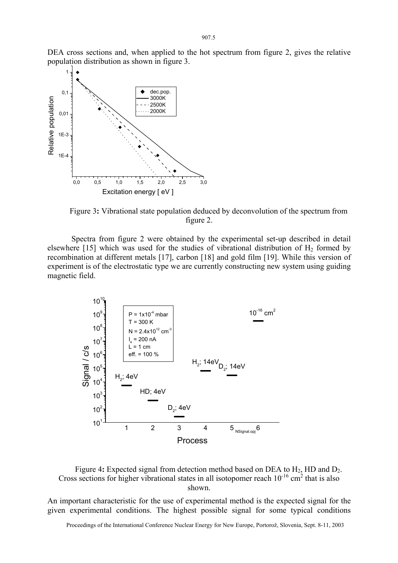DEA cross sections and, when applied to the hot spectrum from figure 2, gives the relative population distribution as shown in figure 3.



Figure 3**:** Vibrational state population deduced by deconvolution of the spectrum from figure 2.

 Spectra from figure 2 were obtained by the experimental set-up described in detail elsewhere [15] which was used for the studies of vibrational distribution of  $H_2$  formed by recombination at different metals [17], carbon [18] and gold film [19]. While this version of experiment is of the electrostatic type we are currently constructing new system using guiding magnetic field.





An important characteristic for the use of experimental method is the expected signal for the given experimental conditions. The highest possible signal for some typical conditions

Proceedings of the International Conference Nuclear Energy for New Europe, Portorož, Slovenia, Sept. 8-11, 2003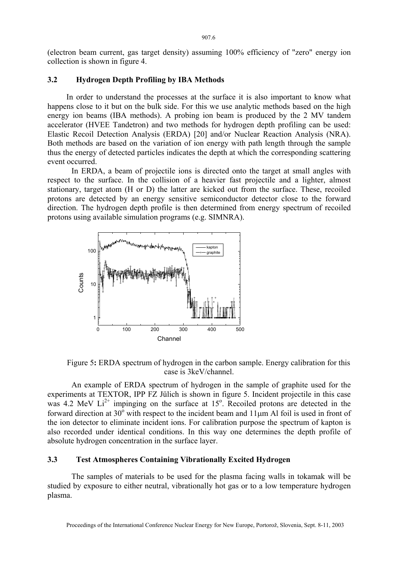(electron beam current, gas target density) assuming 100% efficiency of "zero" energy ion collection is shown in figure 4.

## **3.2 Hydrogen Depth Profiling by IBA Methods**

In order to understand the processes at the surface it is also important to know what happens close to it but on the bulk side. For this we use analytic methods based on the high energy ion beams (IBA methods). A probing ion beam is produced by the 2 MV tandem accelerator (HVEE Tandetron) and two methods for hydrogen depth profiling can be used: Elastic Recoil Detection Analysis (ERDA) [20] and/or Nuclear Reaction Analysis (NRA). Both methods are based on the variation of ion energy with path length through the sample thus the energy of detected particles indicates the depth at which the corresponding scattering event occurred.

In ERDA, a beam of projectile ions is directed onto the target at small angles with respect to the surface. In the collision of a heavier fast projectile and a lighter, almost stationary, target atom (H or D) the latter are kicked out from the surface. These, recoiled protons are detected by an energy sensitive semiconductor detector close to the forward direction. The hydrogen depth profile is then determined from energy spectrum of recoiled protons using available simulation programs (e.g. SIMNRA).



Figure 5**:** ERDA spectrum of hydrogen in the carbon sample. Energy calibration for this case is 3keV/channel.

An example of ERDA spectrum of hydrogen in the sample of graphite used for the experiments at TEXTOR, IPP FZ Jülich is shown in figure 5. Incident projectile in this case was 4.2 MeV  $Li^{2+}$  impinging on the surface at 15°. Recoiled protons are detected in the forward direction at 30 $^{\circ}$  with respect to the incident beam and 11 $\mu$ m Al foil is used in front of the ion detector to eliminate incident ions. For calibration purpose the spectrum of kapton is also recorded under identical conditions. In this way one determines the depth profile of absolute hydrogen concentration in the surface layer.

## **3.3 Test Atmospheres Containing Vibrationally Excited Hydrogen**

The samples of materials to be used for the plasma facing walls in tokamak will be studied by exposure to either neutral, vibrationally hot gas or to a low temperature hydrogen plasma.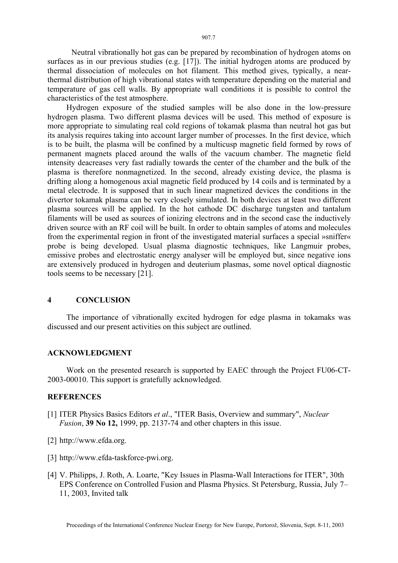Neutral vibrationally hot gas can be prepared by recombination of hydrogen atoms on

surfaces as in our previous studies (e.g. [17]). The initial hydrogen atoms are produced by thermal dissociation of molecules on hot filament. This method gives, typically, a nearthermal distribution of high vibrational states with temperature depending on the material and temperature of gas cell walls. By appropriate wall conditions it is possible to control the characteristics of the test atmosphere.

Hydrogen exposure of the studied samples will be also done in the low-pressure hydrogen plasma. Two different plasma devices will be used. This method of exposure is more appropriate to simulating real cold regions of tokamak plasma than neutral hot gas but its analysis requires taking into account larger number of processes. In the first device, which is to be built, the plasma will be confined by a multicusp magnetic field formed by rows of permanent magnets placed around the walls of the vacuum chamber. The magnetic field intensity deacreases very fast radially towards the center of the chamber and the bulk of the plasma is therefore nonmagnetized. In the second, already existing device, the plasma is drifting along a homogenous axial magnetic field produced by 14 coils and is terminated by a metal electrode. It is supposed that in such linear magnetized devices the conditions in the divertor tokamak plasma can be very closely simulated. In both devices at least two different plasma sources will be applied. In the hot cathode DC discharge tungsten and tantalum filaments will be used as sources of ionizing electrons and in the second case the inductively driven source with an RF coil will be built. In order to obtain samples of atoms and molecules from the experimental region in front of the investigated material surfaces a special »sniffer« probe is being developed. Usual plasma diagnostic techniques, like Langmuir probes, emissive probes and electrostatic energy analyser will be employed but, since negative ions are extensively produced in hydrogen and deuterium plasmas, some novel optical diagnostic tools seems to be necessary [21].

# **4 CONCLUSION**

The importance of vibrationally excited hydrogen for edge plasma in tokamaks was discussed and our present activities on this subject are outlined.

## **ACKNOWLEDGMENT**

Work on the presented research is supported by EAEC through the Project FU06-CT-2003-00010. This support is gratefully acknowledged.

## **REFERENCES**

- [1] ITER Physics Basics Editors *et al*., "ITER Basis, Overview and summary", *Nuclear Fusion*, **39 No 12,** 1999, pp. 2137-74 and other chapters in this issue.
- [2] http://www.efda.org.
- [3] http://www.efda-taskforce-pwi.org.
- [4] V. Philipps, J. Roth, A. Loarte, "Key Issues in Plasma-Wall Interactions for ITER", 30th EPS Conference on Controlled Fusion and Plasma Physics. St Petersburg, Russia, July 7– 11, 2003, Invited talk